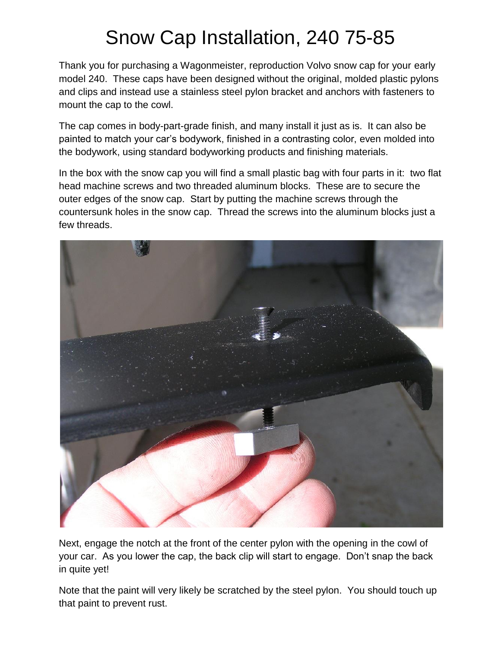## Snow Cap Installation, 240 75-85

Thank you for purchasing a Wagonmeister, reproduction Volvo snow cap for your early model 240. These caps have been designed without the original, molded plastic pylons and clips and instead use a stainless steel pylon bracket and anchors with fasteners to mount the cap to the cowl.

The cap comes in body-part-grade finish, and many install it just as is. It can also be painted to match your car's bodywork, finished in a contrasting color, even molded into the bodywork, using standard bodyworking products and finishing materials.

In the box with the snow cap you will find a small plastic bag with four parts in it: two flat head machine screws and two threaded aluminum blocks. These are to secure the outer edges of the snow cap. Start by putting the machine screws through the countersunk holes in the snow cap. Thread the screws into the aluminum blocks just a few threads.



Next, engage the notch at the front of the center pylon with the opening in the cowl of your car. As you lower the cap, the back clip will start to engage. Don't snap the back in quite yet!

Note that the paint will very likely be scratched by the steel pylon. You should touch up that paint to prevent rust.